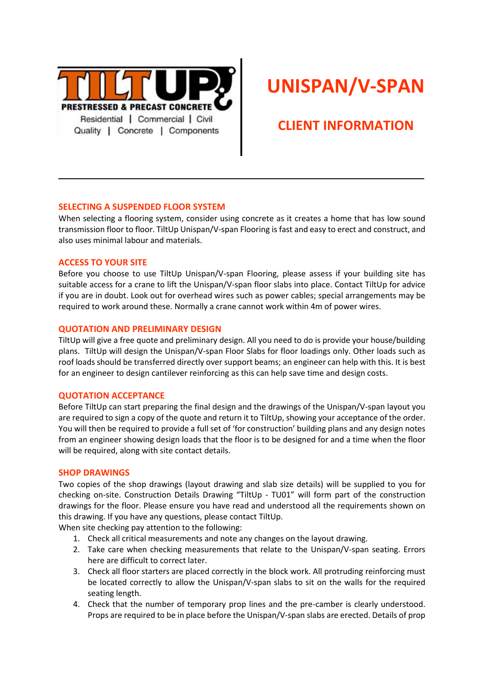

# **UNISPAN/V-SPAN**

# **CLIENT INFORMATION**

#### **SELECTING A SUSPENDED FLOOR SYSTEM**

When selecting a flooring system, consider using concrete as it creates a home that has low sound transmission floor to floor. TiltUp Unispan/V-span Flooring is fast and easy to erect and construct, and also uses minimal labour and materials.

#### **ACCESS TO YOUR SITE**

Before you choose to use TiltUp Unispan/V-span Flooring, please assess if your building site has suitable access for a crane to lift the Unispan/V-span floor slabs into place. Contact TiltUp for advice if you are in doubt. Look out for overhead wires such as power cables; special arrangements may be required to work around these. Normally a crane cannot work within 4m of power wires.

#### **QUOTATION AND PRELIMINARY DESIGN**

TiltUp will give a free quote and preliminary design. All you need to do is provide your house/building plans. TiltUp will design the Unispan/V-span Floor Slabs for floor loadings only. Other loads such as roof loads should be transferred directly over support beams; an engineer can help with this. It is best for an engineer to design cantilever reinforcing as this can help save time and design costs.

#### **QUOTATION ACCEPTANCE**

Before TiltUp can start preparing the final design and the drawings of the Unispan/V-span layout you are required to sign a copy of the quote and return it to TiltUp, showing your acceptance of the order. You will then be required to provide a full set of 'for construction' building plans and any design notes from an engineer showing design loads that the floor is to be designed for and a time when the floor will be required, along with site contact details.

### **SHOP DRAWINGS**

Two copies of the shop drawings (layout drawing and slab size details) will be supplied to you for checking on-site. Construction Details Drawing "TiltUp - TU01" will form part of the construction drawings for the floor. Please ensure you have read and understood all the requirements shown on this drawing. If you have any questions, please contact TiltUp.

When site checking pay attention to the following:

- 1. Check all critical measurements and note any changes on the layout drawing.
- 2. Take care when checking measurements that relate to the Unispan/V-span seating. Errors here are difficult to correct later.
- 3. Check all floor starters are placed correctly in the block work. All protruding reinforcing must be located correctly to allow the Unispan/V-span slabs to sit on the walls for the required seating length.
- 4. Check that the number of temporary prop lines and the pre-camber is clearly understood. Props are required to be in place before the Unispan/V-span slabs are erected. Details of prop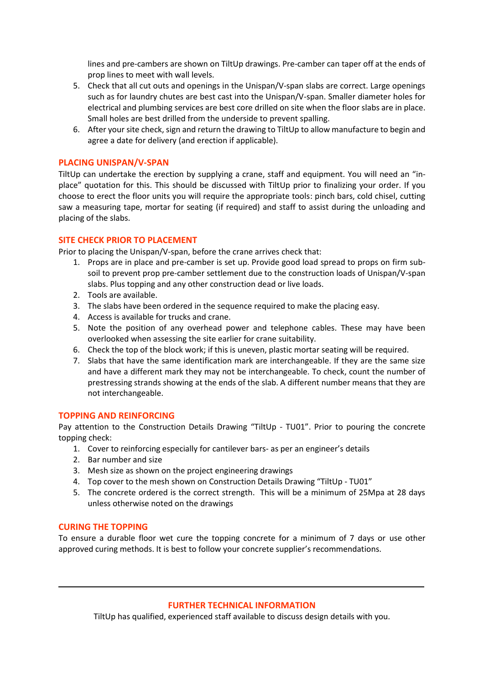lines and pre-cambers are shown on TiltUp drawings. Pre-camber can taper off at the ends of prop lines to meet with wall levels.

- 5. Check that all cut outs and openings in the Unispan/V-span slabs are correct. Large openings such as for laundry chutes are best cast into the Unispan/V-span. Smaller diameter holes for electrical and plumbing services are best core drilled on site when the floor slabs are in place. Small holes are best drilled from the underside to prevent spalling.
- 6. After your site check, sign and return the drawing to TiltUp to allow manufacture to begin and agree a date for delivery (and erection if applicable).

#### **PLACING UNISPAN/V-SPAN**

TiltUp can undertake the erection by supplying a crane, staff and equipment. You will need an "inplace" quotation for this. This should be discussed with TiltUp prior to finalizing your order. If you choose to erect the floor units you will require the appropriate tools: pinch bars, cold chisel, cutting saw a measuring tape, mortar for seating (if required) and staff to assist during the unloading and placing of the slabs.

#### **SITE CHECK PRIOR TO PLACEMENT**

Prior to placing the Unispan/V-span, before the crane arrives check that:

- 1. Props are in place and pre-camber is set up. Provide good load spread to props on firm subsoil to prevent prop pre-camber settlement due to the construction loads of Unispan/V-span slabs. Plus topping and any other construction dead or live loads.
- 2. Tools are available.
- 3. The slabs have been ordered in the sequence required to make the placing easy.
- 4. Access is available for trucks and crane.
- 5. Note the position of any overhead power and telephone cables. These may have been overlooked when assessing the site earlier for crane suitability.
- 6. Check the top of the block work; if this is uneven, plastic mortar seating will be required.
- 7. Slabs that have the same identification mark are interchangeable. If they are the same size and have a different mark they may not be interchangeable. To check, count the number of prestressing strands showing at the ends of the slab. A different number means that they are not interchangeable.

#### **TOPPING AND REINFORCING**

Pay attention to the Construction Details Drawing "TiltUp - TU01". Prior to pouring the concrete topping check:

- 1. Cover to reinforcing especially for cantilever bars- as per an engineer's details
- 2. Bar number and size
- 3. Mesh size as shown on the project engineering drawings
- 4. Top cover to the mesh shown on Construction Details Drawing "TiltUp TU01"
- 5. The concrete ordered is the correct strength. This will be a minimum of 25Mpa at 28 days unless otherwise noted on the drawings

#### **CURING THE TOPPING**

To ensure a durable floor wet cure the topping concrete for a minimum of 7 days or use other approved curing methods. It is best to follow your concrete supplier's recommendations.

#### **FURTHER TECHNICAL INFORMATION**

TiltUp has qualified, experienced staff available to discuss design details with you.